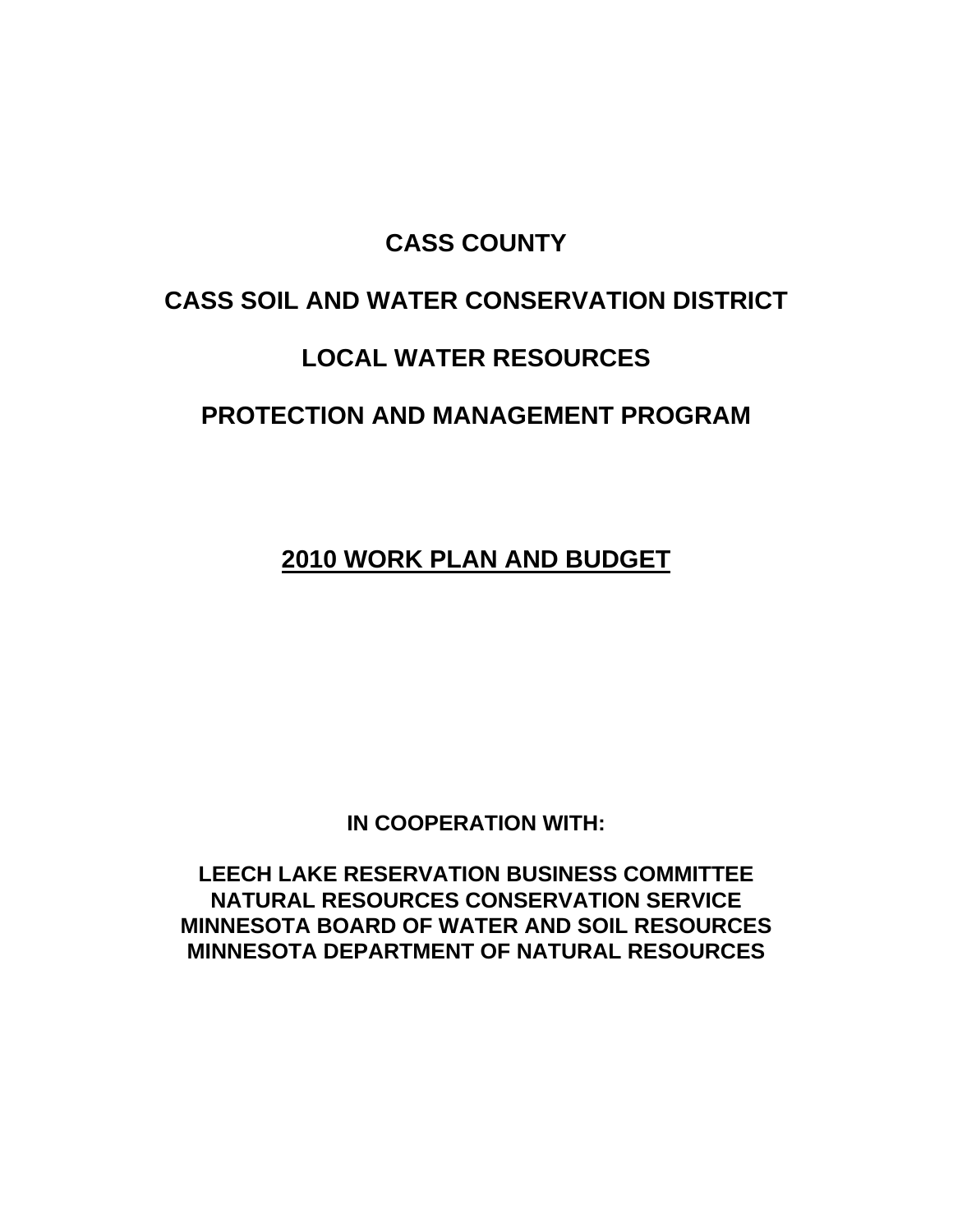## **CASS COUNTY**

# **CASS SOIL AND WATER CONSERVATION DISTRICT**

# **LOCAL WATER RESOURCES**

# **PROTECTION AND MANAGEMENT PROGRAM**

**2010 WORK PLAN AND BUDGET**

**IN COOPERATION WITH:** 

**LEECH LAKE RESERVATION BUSINESS COMMITTEE NATURAL RESOURCES CONSERVATION SERVICE MINNESOTA BOARD OF WATER AND SOIL RESOURCES MINNESOTA DEPARTMENT OF NATURAL RESOURCES**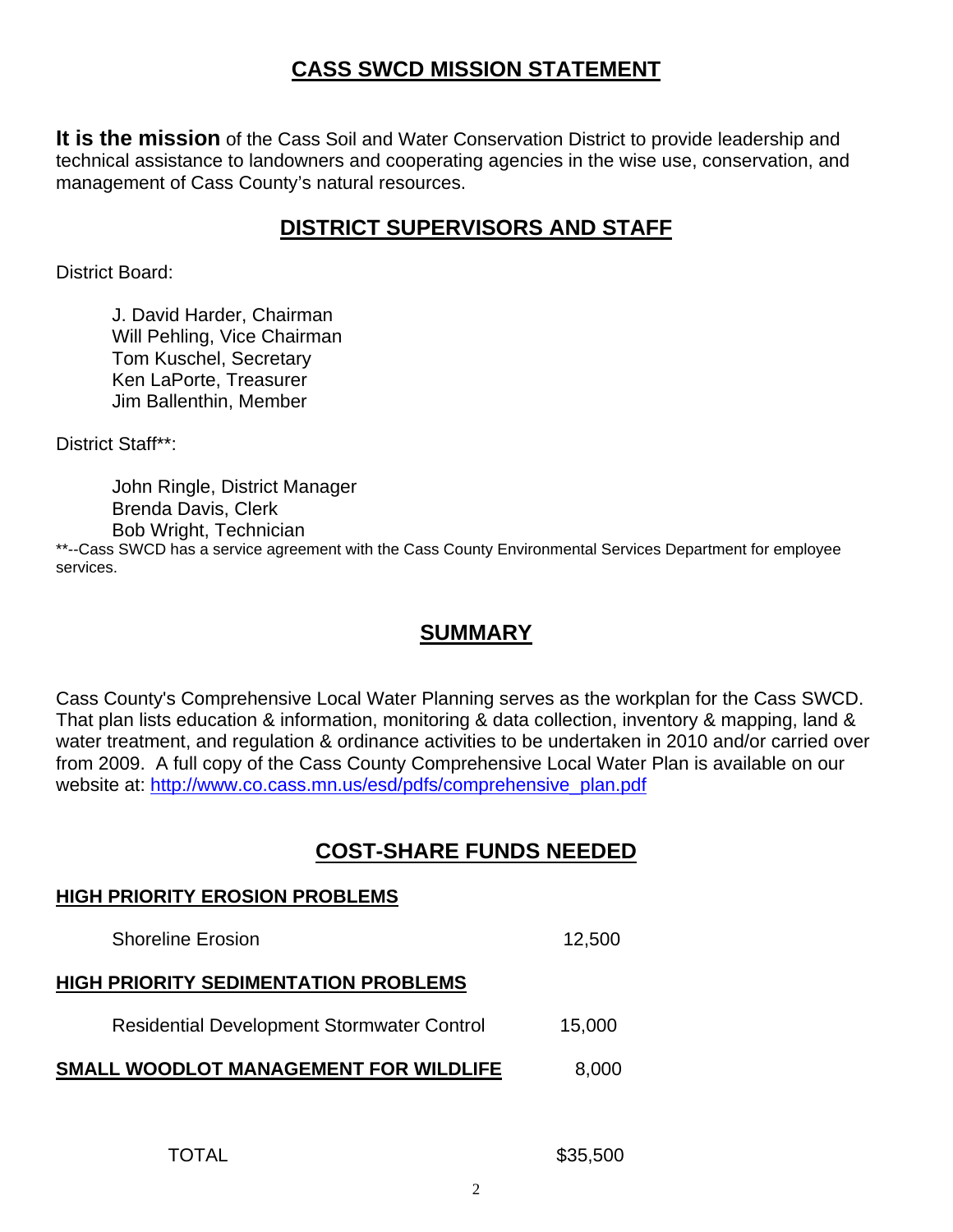## **CASS SWCD MISSION STATEMENT**

**It is the mission** of the Cass Soil and Water Conservation District to provide leadership and technical assistance to landowners and cooperating agencies in the wise use, conservation, and management of Cass County's natural resources.

## **DISTRICT SUPERVISORS AND STAFF**

District Board:

 J. David Harder, Chairman Will Pehling, Vice Chairman Tom Kuschel, Secretary Ken LaPorte, Treasurer Jim Ballenthin, Member

District Staff\*\*:

 John Ringle, District Manager Brenda Davis, Clerk Bob Wright, Technician

\*\*--Cass SWCD has a service agreement with the Cass County Environmental Services Department for employee services.

### **SUMMARY**

Cass County's Comprehensive Local Water Planning serves as the workplan for the Cass SWCD. That plan lists education & information, monitoring & data collection, inventory & mapping, land & water treatment, and regulation & ordinance activities to be undertaken in 2010 and/or carried over from 2009. A full copy of the Cass County Comprehensive Local Water Plan is available on our website at: http://www.co.cass.mn.us/esd/pdfs/comprehensive\_plan.pdf

### **COST-SHARE FUNDS NEEDED**

# **HIGH PRIORITY EROSION PROBLEMS** Shoreline Erosion 12,500

#### **HIGH PRIORITY SEDIMENTATION PROBLEMS**

Residential Development Stormwater Control 15,000

**SMALL WOODLOT MANAGEMENT FOR WILDLIFE** 8,000

\$35,500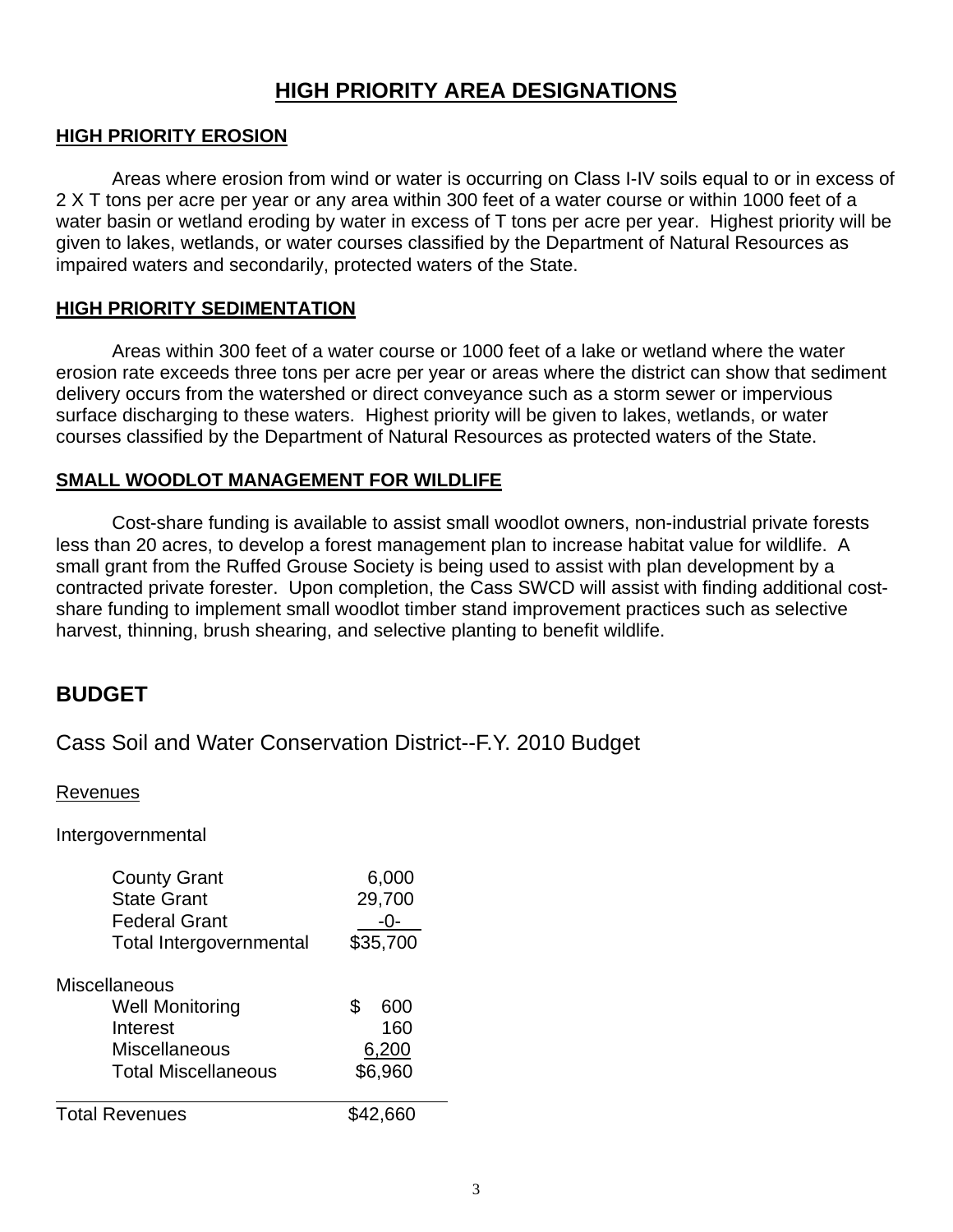### **HIGH PRIORITY AREA DESIGNATIONS**

#### **HIGH PRIORITY EROSION**

 Areas where erosion from wind or water is occurring on Class I-IV soils equal to or in excess of 2 X T tons per acre per year or any area within 300 feet of a water course or within 1000 feet of a water basin or wetland eroding by water in excess of T tons per acre per year. Highest priority will be given to lakes, wetlands, or water courses classified by the Department of Natural Resources as impaired waters and secondarily, protected waters of the State.

#### **HIGH PRIORITY SEDIMENTATION**

 Areas within 300 feet of a water course or 1000 feet of a lake or wetland where the water erosion rate exceeds three tons per acre per year or areas where the district can show that sediment delivery occurs from the watershed or direct conveyance such as a storm sewer or impervious surface discharging to these waters. Highest priority will be given to lakes, wetlands, or water courses classified by the Department of Natural Resources as protected waters of the State.

#### **SMALL WOODLOT MANAGEMENT FOR WILDLIFE**

 Cost-share funding is available to assist small woodlot owners, non-industrial private forests less than 20 acres, to develop a forest management plan to increase habitat value for wildlife. A small grant from the Ruffed Grouse Society is being used to assist with plan development by a contracted private forester. Upon completion, the Cass SWCD will assist with finding additional costshare funding to implement small woodlot timber stand improvement practices such as selective harvest, thinning, brush shearing, and selective planting to benefit wildlife.

#### **BUDGET**

Cass Soil and Water Conservation District--F.Y. 2010 Budget

#### Revenues

Intergovernmental

| <b>County Grant</b>            | 6,000    |
|--------------------------------|----------|
| <b>State Grant</b>             | 29,700   |
| <b>Federal Grant</b>           |          |
| <b>Total Intergovernmental</b> | \$35,700 |
| <b>Miscellaneous</b>           |          |
| <b>Well Monitoring</b>         | 600      |
| Interest                       | 160      |
| Miscellaneous                  | 6,200    |
| Total Miscellaneous            | \$6,960  |
| <b>Total Revenues</b>          | \$42,660 |